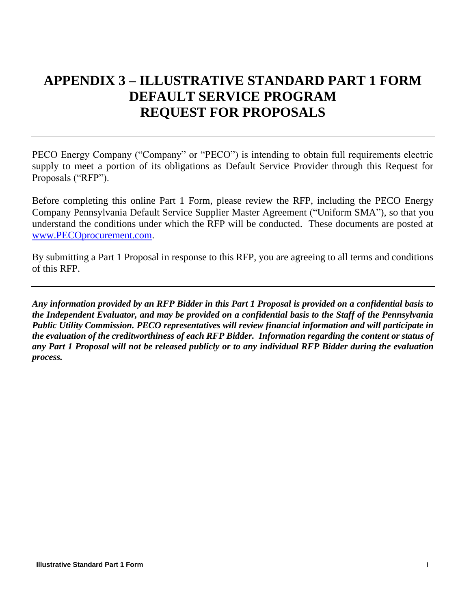# **APPENDIX 3 – ILLUSTRATIVE STANDARD PART 1 FORM DEFAULT SERVICE PROGRAM REQUEST FOR PROPOSALS**

PECO Energy Company ("Company" or "PECO") is intending to obtain full requirements electric supply to meet a portion of its obligations as Default Service Provider through this Request for Proposals ("RFP").

Before completing this online Part 1 Form, please review the RFP, including the PECO Energy Company Pennsylvania Default Service Supplier Master Agreement ("Uniform SMA"), so that you understand the conditions under which the RFP will be conducted. These documents are posted at [www.PECOprocurement.com.](http://www.pecoprocurement.com/)

By submitting a Part 1 Proposal in response to this RFP, you are agreeing to all terms and conditions of this RFP.

*Any information provided by an RFP Bidder in this Part 1 Proposal is provided on a confidential basis to the Independent Evaluator, and may be provided on a confidential basis to the Staff of the Pennsylvania Public Utility Commission. PECO representatives will review financial information and will participate in the evaluation of the creditworthiness of each RFP Bidder. Information regarding the content or status of any Part 1 Proposal will not be released publicly or to any individual RFP Bidder during the evaluation process.*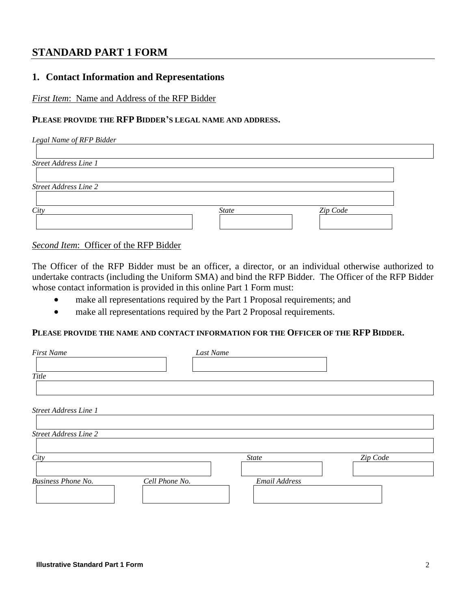# **STANDARD PART 1 FORM**

# **1. Contact Information and Representations**

*First Item*: Name and Address of the RFP Bidder

## **PLEASE PROVIDE THE RFP BIDDER'S LEGAL NAME AND ADDRESS.**

| Legal Name of RFP Bidder     |              |          |  |
|------------------------------|--------------|----------|--|
|                              |              |          |  |
| <b>Street Address Line 1</b> |              |          |  |
|                              |              |          |  |
| <b>Street Address Line 2</b> |              |          |  |
|                              |              |          |  |
| City                         | <b>State</b> | Zip Code |  |
|                              |              |          |  |
|                              |              |          |  |

*Second Item*: Officer of the RFP Bidder

The Officer of the RFP Bidder must be an officer, a director, or an individual otherwise authorized to undertake contracts (including the Uniform SMA) and bind the RFP Bidder. The Officer of the RFP Bidder whose contact information is provided in this online Part 1 Form must:

- make all representations required by the Part 1 Proposal requirements; and
- make all representations required by the Part 2 Proposal requirements.

#### **PLEASE PROVIDE THE NAME AND CONTACT INFORMATION FOR THE OFFICER OF THE RFP BIDDER.**

| <b>First Name</b>                           | Last Name     |          |
|---------------------------------------------|---------------|----------|
| Title                                       |               |          |
| Street Address Line 1                       |               |          |
| <b>Street Address Line 2</b>                |               |          |
| City                                        | <b>State</b>  | Zip Code |
| <b>Business Phone No.</b><br>Cell Phone No. | Email Address |          |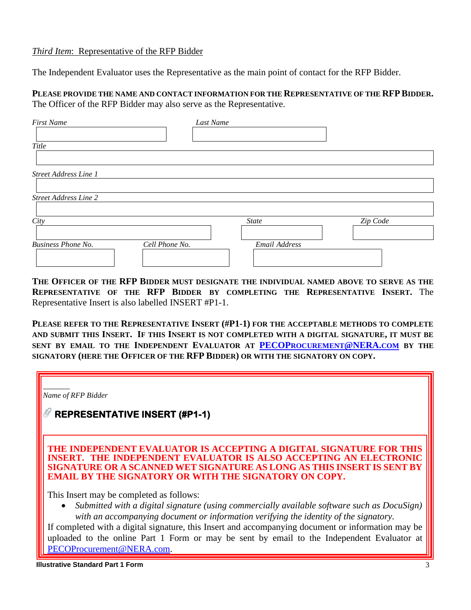#### *Third Item*: Representative of the RFP Bidder

The Independent Evaluator uses the Representative as the main point of contact for the RFP Bidder.

**PLEASE PROVIDE THE NAME AND CONTACT INFORMATION FOR THE REPRESENTATIVE OF THE RFPBIDDER.** The Officer of the RFP Bidder may also serve as the Representative.

| <b>First Name</b>                           | Last Name     |          |
|---------------------------------------------|---------------|----------|
| Title                                       |               |          |
| <b>Street Address Line 1</b>                |               |          |
|                                             |               |          |
| <b>Street Address Line 2</b>                |               |          |
| City                                        | <b>State</b>  | Zip Code |
| <b>Business Phone No.</b><br>Cell Phone No. | Email Address |          |

**THE OFFICER OF THE RFP BIDDER MUST DESIGNATE THE INDIVIDUAL NAMED ABOVE TO SERVE AS THE REPRESENTATIVE OF THE RFP BIDDER BY COMPLETING THE REPRESENTATIVE INSERT.** The Representative Insert is also labelled INSERT #P1-1.

**PLEASE REFER TO THE REPRESENTATIVE INSERT (#P1-1) FOR THE ACCEPTABLE METHODS TO COMPLETE AND SUBMIT THIS INSERT. IF THIS INSERT IS NOT COMPLETED WITH A DIGITAL SIGNATURE, IT MUST BE SENT BY EMAIL TO THE INDEPENDENT EVALUATOR AT PECOP[ROCUREMENT](mailto:PECOProcurement@NERA.com)@NERA.COM BY THE SIGNATORY (HERE THE OFFICER OF THE RFP BIDDER) OR WITH THE SIGNATORY ON COPY.**

| Name of RFP Bidder<br><b>REPRESENTATIVE INSERT (#P1-1)</b>                                                                                                                                                                                                                                                                                                                                                                                                        |
|-------------------------------------------------------------------------------------------------------------------------------------------------------------------------------------------------------------------------------------------------------------------------------------------------------------------------------------------------------------------------------------------------------------------------------------------------------------------|
| THE INDEPENDENT EVALUATOR IS ACCEPTING A DIGITAL SIGNATURE FOR THIS<br><b>INSERT. THE INDEPENDENT EVALUATOR IS ALSO ACCEPTING AN ELECTRONIC</b><br>SIGNATURE OR A SCANNED WET SIGNATURE AS LONG AS THIS INSERT IS SENT BY<br><b>EMAIL BY THE SIGNATORY OR WITH THE SIGNATORY ON COPY.</b>                                                                                                                                                                         |
| This Insert may be completed as follows:<br>Submitted with a digital signature (using commercially available software such as DocuSign)<br>with an accompanying document or information verifying the identity of the signatory.<br>If completed with a digital signature, this Insert and accompanying document or information may be<br>uploaded to the online Part 1 Form or may be sent by email to the Independent Evaluator at<br>PECOProcurement@NERA.com. |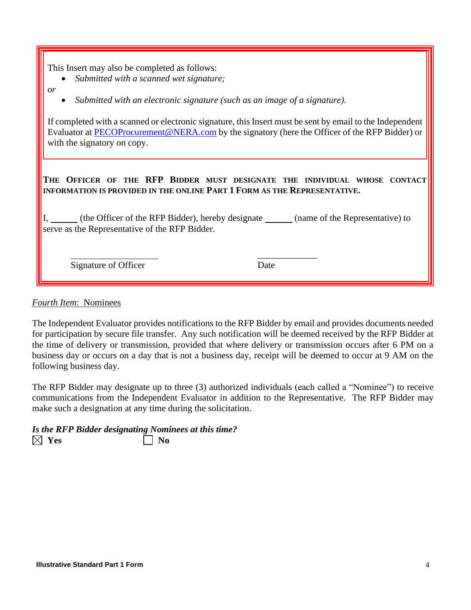This Insert may also be completed as follows:

- *Submitted with a scanned wet signature;*
- *or*
- *Submitted with an electronic signature (such as an image of a signature).*

If completed with a scanned or electronic signature, this Insert must be sent by email to the Independent Evaluator at [PECOProcurement@NERA.com](mailto:PECOProcurement@NERA.com) by the signatory (here the Officer of the RFP Bidder) or with the signatory on copy.

**THE OFFICER OF THE RFP BIDDER MUST DESIGNATE THE INDIVIDUAL WHOSE CONTACT INFORMATION IS PROVIDED IN THE ONLINE PART 1 FORM AS THE REPRESENTATIVE.**

I, (the Officer of the RFP Bidder), hereby designate (name of the Representative) to serve as the Representative of the RFP Bidder.

 $\overline{\phantom{a}}$  , and the contract of  $\overline{\phantom{a}}$  , and  $\overline{\phantom{a}}$  , and  $\overline{\phantom{a}}$  , and  $\overline{\phantom{a}}$ 

Signature of Officer Date

*Fourth Item*: Nominees

The Independent Evaluator provides notifications to the RFP Bidder by email and provides documents needed for participation by secure file transfer. Any such notification will be deemed received by the RFP Bidder at the time of delivery or transmission, provided that where delivery or transmission occurs after 6 PM on a business day or occurs on a day that is not a business day, receipt will be deemed to occur at 9 AM on the following business day.

The RFP Bidder may designate up to three (3) authorized individuals (each called a "Nominee") to receive communications from the Independent Evaluator in addition to the Representative. The RFP Bidder may make such a designation at any time during the solicitation.

|                 | Is the RFP Bidder designating Nominees at this time? |
|-----------------|------------------------------------------------------|
| $\boxtimes$ Yes | $\vert$   No                                         |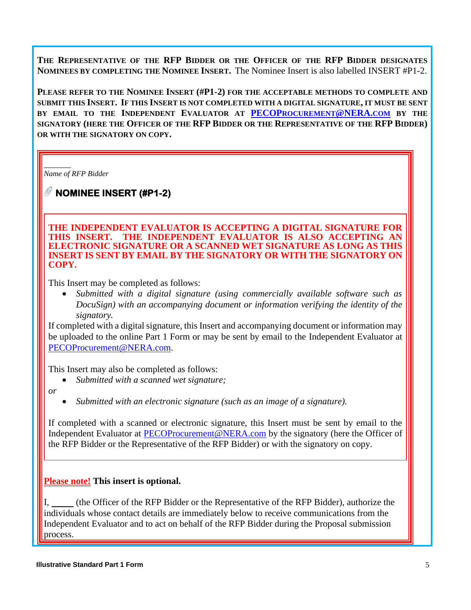**THE REPRESENTATIVE OF THE RFP BIDDER OR THE OFFICER OF THE RFP BIDDER DESIGNATES NOMINEES BY COMPLETING THE NOMINEE INSERT.** The Nominee Insert is also labelled INSERT #P1-2.

**PLEASE REFER TO THE NOMINEE INSERT (#P1-2) FOR THE ACCEPTABLE METHODS TO COMPLETE AND SUBMIT THIS INSERT. IF THIS INSERT IS NOT COMPLETED WITH A DIGITAL SIGNATURE, IT MUST BE SENT BY EMAIL TO THE INDEPENDENT EVALUATOR AT PECOP[ROCUREMENT](mailto:PECOProcurement@NERA.com)@NERA.COM BY THE SIGNATORY (HERE THE OFFICER OF THE RFP BIDDER OR THE REPRESENTATIVE OF THE RFP BIDDER) OR WITH THE SIGNATORY ON COPY.**

*Name of RFP Bidder*

**NOMINEE INSERT (#P1-2)** 

**THE INDEPENDENT EVALUATOR IS ACCEPTING A DIGITAL SIGNATURE FOR**  THE INDEPENDENT EVALUATOR IS ALSO ACCEPTING AN **ELECTRONIC SIGNATURE OR A SCANNED WET SIGNATURE AS LONG AS THIS INSERT IS SENT BY EMAIL BY THE SIGNATORY OR WITH THE SIGNATORY ON COPY.** 

This Insert may be completed as follows:

• *Submitted with a digital signature (using commercially available software such as DocuSign) with an accompanying document or information verifying the identity of the signatory.* 

If completed with a digital signature, this Insert and accompanying document or information may be uploaded to the online Part 1 Form or may be sent by email to the Independent Evaluator at [PECOProcurement@NERA.com.](mailto:PECOProcurement@NERA.com)

This Insert may also be completed as follows:

- *Submitted with a scanned wet signature;*
- *or*
- *Submitted with an electronic signature (such as an image of a signature).*

If completed with a scanned or electronic signature, this Insert must be sent by email to the Independent Evaluator at [PECOProcurement@NERA.com](mailto:PECOProcurement@NERA.com) by the signatory (here the Officer of the RFP Bidder or the Representative of the RFP Bidder) or with the signatory on copy.

# **Please note! This insert is optional.**

I, (the Officer of the RFP Bidder or the Representative of the RFP Bidder), authorize the individuals whose contact details are immediately below to receive communications from the Independent Evaluator and to act on behalf of the RFP Bidder during the Proposal submission process.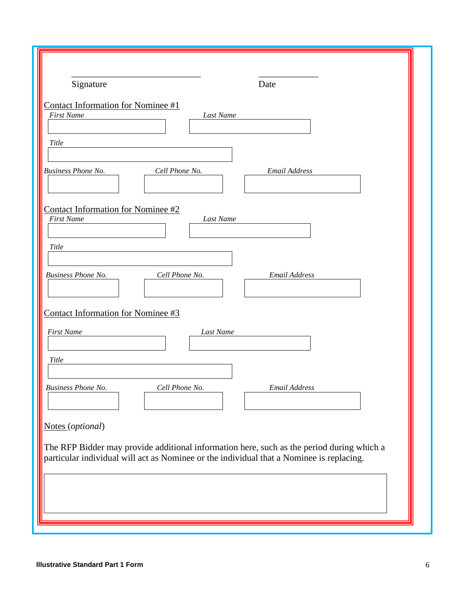| Signature<br>Date                                                                                                                                                                     |  |
|---------------------------------------------------------------------------------------------------------------------------------------------------------------------------------------|--|
| <b>Contact Information for Nominee #1</b><br><b>First Name</b><br>Last Name                                                                                                           |  |
| Title                                                                                                                                                                                 |  |
| <b>Business Phone No.</b><br>Cell Phone No.<br>Email Address                                                                                                                          |  |
| Contact Information for Nominee #2<br><b>First Name</b><br>Last Name<br>Title                                                                                                         |  |
| Cell Phone No.<br><b>Email Address</b><br>Business Phone No.                                                                                                                          |  |
| Contact Information for Nominee #3<br><b>First Name</b><br>Last Name                                                                                                                  |  |
| Title                                                                                                                                                                                 |  |
| <b>Business Phone No.</b><br>Cell Phone No.<br>Email Address                                                                                                                          |  |
| Notes (optional)                                                                                                                                                                      |  |
| The RFP Bidder may provide additional information here, such as the period during which a<br>particular individual will act as Nominee or the individual that a Nominee is replacing. |  |
|                                                                                                                                                                                       |  |
|                                                                                                                                                                                       |  |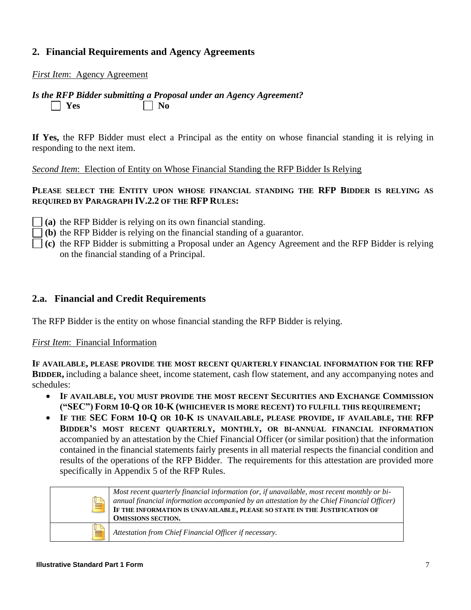# **2. Financial Requirements and Agency Agreements**

*First Item*: Agency Agreement

#### *Is the RFP Bidder submitting a Proposal under an Agency Agreement?*  $\Box$  Yes  $\Box$  No

**If Yes,** the RFP Bidder must elect a Principal as the entity on whose financial standing it is relying in responding to the next item.

*Second Item*: Election of Entity on Whose Financial Standing the RFP Bidder Is Relying

#### **PLEASE SELECT THE ENTITY UPON WHOSE FINANCIAL STANDING THE RFP BIDDER IS RELYING AS REQUIRED BY PARAGRAPH IV.2.2 OF THE RFP RULES:**

- **(a)** the RFP Bidder is relying on its own financial standing.
- **(b)** the RFP Bidder is relying on the financial standing of a guarantor.
- **(c)** the RFP Bidder is submitting a Proposal under an Agency Agreement and the RFP Bidder is relying on the financial standing of a Principal.

#### **2.a. Financial and Credit Requirements**

The RFP Bidder is the entity on whose financial standing the RFP Bidder is relying.

#### *First Item*: Financial Information

**IF AVAILABLE, PLEASE PROVIDE THE MOST RECENT QUARTERLY FINANCIAL INFORMATION FOR THE RFP BIDDER,** including a balance sheet, income statement, cash flow statement, and any accompanying notes and schedules:

- **IF AVAILABLE, YOU MUST PROVIDE THE MOST RECENT SECURITIES AND EXCHANGE COMMISSION ("SEC") FORM 10-Q OR 10-K (WHICHEVER IS MORE RECENT) TO FULFILL THIS REQUIREMENT;**
- **IF THE SEC FORM 10-Q OR 10-K IS UNAVAILABLE, PLEASE PROVIDE, IF AVAILABLE, THE RFP BIDDER'S MOST RECENT QUARTERLY, MONTHLY, OR BI-ANNUAL FINANCIAL INFORMATION** accompanied by an attestation by the Chief Financial Officer (or similar position) that the information contained in the financial statements fairly presents in all material respects the financial condition and results of the operations of the RFP Bidder. The requirements for this attestation are provided more specifically in Appendix 5 of the RFP Rules.

| Ш | Most recent quarterly financial information (or, if unavailable, most recent monthly or bi-<br>annual financial information accompanied by an attestation by the Chief Financial Officer)<br>IF THE INFORMATION IS UNAVAILABLE, PLEASE SO STATE IN THE JUSTIFICATION OF<br><b>OMISSIONS SECTION.</b> |
|---|------------------------------------------------------------------------------------------------------------------------------------------------------------------------------------------------------------------------------------------------------------------------------------------------------|
|   | Attestation from Chief Financial Officer if necessary.                                                                                                                                                                                                                                               |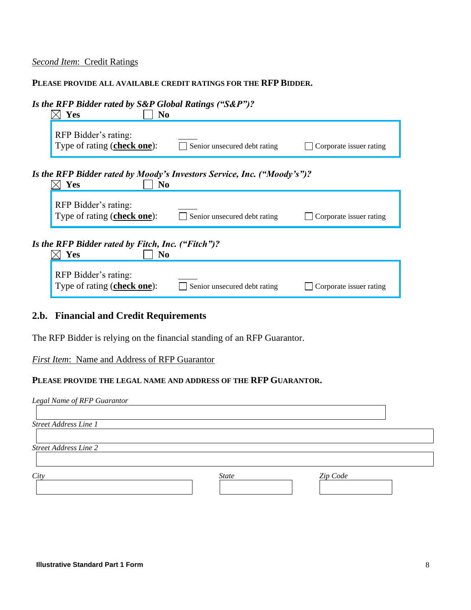### *Second Item*:Credit Ratings

#### **PLEASE PROVIDE ALL AVAILABLE CREDIT RATINGS FOR THE RFP BIDDER.**

| Is the RFP Bidder rated by S&P Global Ratings ("S&P")?<br><b>Yes</b><br>No                                     |
|----------------------------------------------------------------------------------------------------------------|
| RFP Bidder's rating:<br>Type of rating (check one):<br>Senior unsecured debt rating<br>Corporate issuer rating |
| Is the RFP Bidder rated by Moody's Investors Service, Inc. ("Moody's")?<br>Yes<br>No                           |
| RFP Bidder's rating:<br>Type of rating (check one):<br>Senior unsecured debt rating<br>Corporate issuer rating |
| Is the RFP Bidder rated by Fitch, Inc. ("Fitch")?<br>Yes<br>N <sub>0</sub>                                     |
| RFP Bidder's rating:<br>Type of rating (check one):<br>Senior unsecured debt rating<br>Corporate issuer rating |

# **2.b. Financial and Credit Requirements**

The RFP Bidder is relying on the financial standing of an RFP Guarantor.

#### *First Item*: Name and Address of RFP Guarantor

#### **PLEASE PROVIDE THE LEGAL NAME AND ADDRESS OF THE RFP GUARANTOR.**

| Legal Name of RFP Guarantor  |              |          |  |
|------------------------------|--------------|----------|--|
|                              |              |          |  |
| Street Address Line 1        |              |          |  |
|                              |              |          |  |
| <b>Street Address Line 2</b> |              |          |  |
|                              |              |          |  |
| City                         | <b>State</b> | Zip Code |  |
|                              |              |          |  |
|                              |              |          |  |
|                              |              |          |  |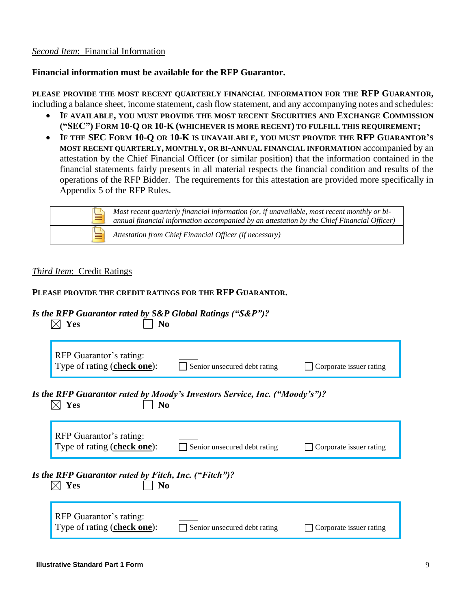#### *Second Item*: Financial Information

#### **Financial information must be available for the RFP Guarantor.**

**PLEASE PROVIDE THE MOST RECENT QUARTERLY FINANCIAL INFORMATION FOR THE RFP GUARANTOR,** including a balance sheet, income statement, cash flow statement, and any accompanying notes and schedules:

- **IF AVAILABLE, YOU MUST PROVIDE THE MOST RECENT SECURITIES AND EXCHANGE COMMISSION ("SEC") FORM 10-Q OR 10-K (WHICHEVER IS MORE RECENT) TO FULFILL THIS REQUIREMENT;**
- **IF THE SEC FORM 10-Q OR 10-K IS UNAVAILABLE, YOU MUST PROVIDE THE RFP GUARANTOR'S MOST RECENT QUARTERLY, MONTHLY, OR BI-ANNUAL FINANCIAL INFORMATION** accompanied by an attestation by the Chief Financial Officer (or similar position) that the information contained in the financial statements fairly presents in all material respects the financial condition and results of the operations of the RFP Bidder. The requirements for this attestation are provided more specifically in Appendix 5 of the RFP Rules.

|   | Most recent quarterly financial information (or, if unavailable, most recent monthly or bi-<br>annual financial information accompanied by an attestation by the Chief Financial Officer) |
|---|-------------------------------------------------------------------------------------------------------------------------------------------------------------------------------------------|
| ≡ | Attestation from Chief Financial Officer (if necessary)                                                                                                                                   |

#### *Third Item*:Credit Ratings

#### **PLEASE PROVIDE THE CREDIT RATINGS FOR THE RFP GUARANTOR.**

# *Is the RFP Guarantor rated by S&P Global Ratings ("S&P")?*

| No<br>Yes                                                                                                         |
|-------------------------------------------------------------------------------------------------------------------|
| RFP Guarantor's rating:<br>Type of rating (check one):<br>Senior unsecured debt rating<br>Corporate issuer rating |
| Is the RFP Guarantor rated by Moody's Investors Service, Inc. ("Moody's")?<br>Yes<br>N <sub>0</sub>               |
| RFP Guarantor's rating:<br>Type of rating (check one):<br>Senior unsecured debt rating<br>Corporate issuer rating |
| Is the RFP Guarantor rated by Fitch, Inc. ("Fitch")?<br>Yes<br>N <sub>0</sub>                                     |
| RFP Guarantor's rating:<br>Type of rating (check one):<br>Senior unsecured debt rating<br>Corporate issuer rating |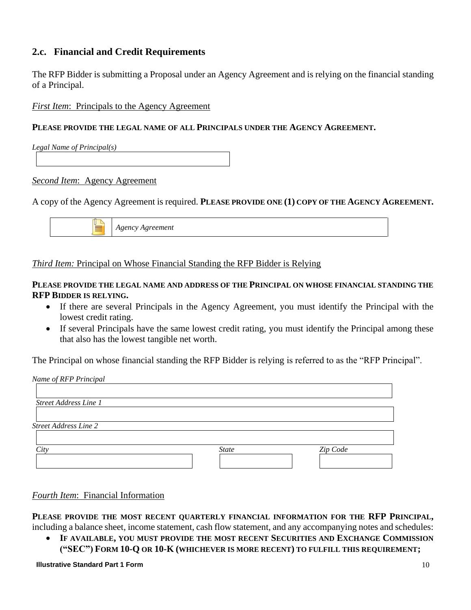# **2.c. Financial and Credit Requirements**

The RFP Bidder is submitting a Proposal under an Agency Agreement and is relying on the financial standing of a Principal.

*First Item*: Principals to the Agency Agreement

### **PLEASE PROVIDE THE LEGAL NAME OF ALL PRINCIPALS UNDER THE AGENCY AGREEMENT.**

*Legal Name of Principal(s)*

#### *Second Item*: Agency Agreement

#### A copy of the Agency Agreement is required. **PLEASE PROVIDE ONE (1) COPY OF THE AGENCY AGREEMENT.**



# *Third Item:* Principal on Whose Financial Standing the RFP Bidder is Relying

#### **PLEASE PROVIDE THE LEGAL NAME AND ADDRESS OF THE PRINCIPAL ON WHOSE FINANCIAL STANDING THE RFP BIDDER IS RELYING.**

- If there are several Principals in the Agency Agreement, you must identify the Principal with the lowest credit rating.
- If several Principals have the same lowest credit rating, you must identify the Principal among these that also has the lowest tangible net worth.

The Principal on whose financial standing the RFP Bidder is relying is referred to as the "RFP Principal".

| Name of RFP Principal        |              |          |
|------------------------------|--------------|----------|
| <b>Street Address Line 1</b> |              |          |
|                              |              |          |
| <b>Street Address Line 2</b> |              |          |
| City                         | <b>State</b> | Zip Code |
|                              |              |          |

#### *Fourth Item*: Financial Information

**PLEASE PROVIDE THE MOST RECENT QUARTERLY FINANCIAL INFORMATION FOR THE RFP PRINCIPAL,** including a balance sheet, income statement, cash flow statement, and any accompanying notes and schedules:

• **IF AVAILABLE, YOU MUST PROVIDE THE MOST RECENT SECURITIES AND EXCHANGE COMMISSION ("SEC") FORM 10-Q OR 10-K (WHICHEVER IS MORE RECENT) TO FULFILL THIS REQUIREMENT;**

**Illustrative Standard Part 1 Form** 10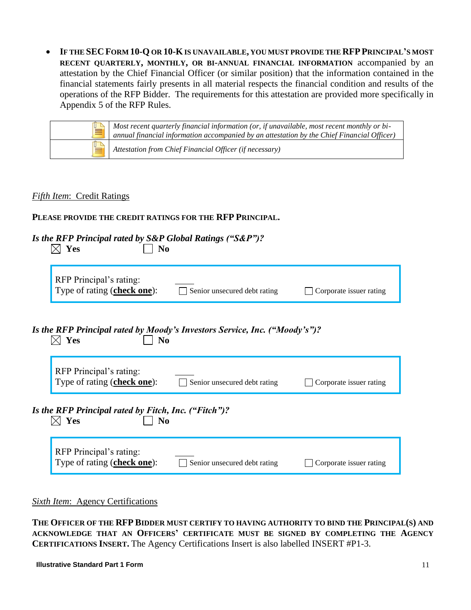• **IF THE SEC FORM 10-Q OR 10-KIS UNAVAILABLE, YOU MUST PROVIDE THE RFPPRINCIPAL'S MOST RECENT QUARTERLY, MONTHLY, OR BI-ANNUAL FINANCIAL INFORMATION** accompanied by an attestation by the Chief Financial Officer (or similar position) that the information contained in the financial statements fairly presents in all material respects the financial condition and results of the operations of the RFP Bidder. The requirements for this attestation are provided more specifically in Appendix 5 of the RFP Rules.

| IU. | Most recent quarterly financial information (or, if unavailable, most recent monthly or bi-<br>annual financial information accompanied by an attestation by the Chief Financial Officer) |
|-----|-------------------------------------------------------------------------------------------------------------------------------------------------------------------------------------------|
| U   | Attestation from Chief Financial Officer (if necessary)                                                                                                                                   |

#### *Fifth Item*:Credit Ratings

## **PLEASE PROVIDE THE CREDIT RATINGS FOR THE RFP PRINCIPAL.**

# *Is the RFP Principal rated by S&P Global Ratings ("S&P")?*

| N <sub>0</sub><br><b>Yes</b>                                                                        |                              |                         |
|-----------------------------------------------------------------------------------------------------|------------------------------|-------------------------|
| RFP Principal's rating:<br>Type of rating (check one):                                              | Senior unsecured debt rating | Corporate issuer rating |
| Is the RFP Principal rated by Moody's Investors Service, Inc. ("Moody's")?<br>Yes<br>N <sub>0</sub> |                              |                         |
| RFP Principal's rating:<br>Type of rating (check one):                                              | Senior unsecured debt rating | Corporate issuer rating |
| Is the RFP Principal rated by Fitch, Inc. ("Fitch")?<br>Yes<br>N <sub>0</sub>                       |                              |                         |
| RFP Principal's rating:<br>Type of rating (check one):                                              | Senior unsecured debt rating | Corporate issuer rating |

*Sixth Item*:Agency Certifications

**THE OFFICER OF THE RFP BIDDER MUST CERTIFY TO HAVING AUTHORITY TO BIND THE PRINCIPAL(S) AND ACKNOWLEDGE THAT AN OFFICERS' CERTIFICATE MUST BE SIGNED BY COMPLETING THE AGENCY CERTIFICATIONS INSERT.** The Agency Certifications Insert is also labelled INSERT #P1-3.

**Illustrative Standard Part 1 Form** 11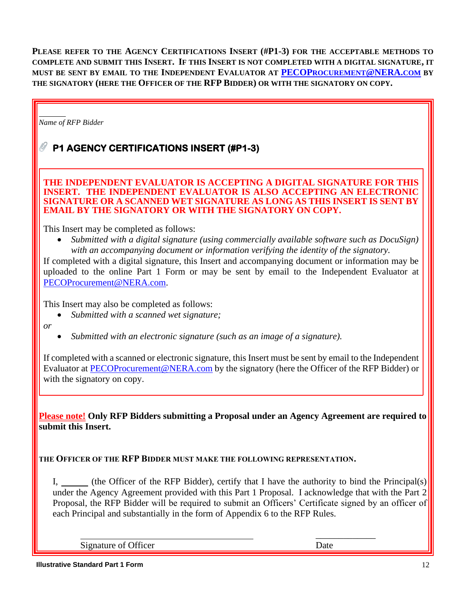**PLEASE REFER TO THE AGENCY CERTIFICATIONS INSERT (#P1-3) FOR THE ACCEPTABLE METHODS TO COMPLETE AND SUBMIT THIS INSERT. IF THIS INSERT IS NOT COMPLETED WITH A DIGITAL SIGNATURE, IT MUST BE SENT BY EMAIL TO THE INDEPENDENT EVALUATOR AT PECOP[ROCUREMENT](mailto:PECOProcurement@NERA.com)@NERA.COM BY THE SIGNATORY (HERE THE OFFICER OF THE RFP BIDDER) OR WITH THE SIGNATORY ON COPY.**

*Name of RFP Bidder*

# **P1 AGENCY CERTIFICATIONS INSERT (#P1-3)**

**THE INDEPENDENT EVALUATOR IS ACCEPTING A DIGITAL SIGNATURE FOR THIS INSERT. THE INDEPENDENT EVALUATOR IS ALSO ACCEPTING AN ELECTRONIC SIGNATURE OR A SCANNED WET SIGNATURE AS LONG AS THIS INSERT IS SENT BY EMAIL BY THE SIGNATORY OR WITH THE SIGNATORY ON COPY.** 

This Insert may be completed as follows:

• *Submitted with a digital signature (using commercially available software such as DocuSign) with an accompanying document or information verifying the identity of the signatory.* 

If completed with a digital signature, this Insert and accompanying document or information may be uploaded to the online Part 1 Form or may be sent by email to the Independent Evaluator at [PECOProcurement@NERA.com.](mailto:PECOProcurement@NERA.com)

This Insert may also be completed as follows:

• *Submitted with a scanned wet signature;*

*or*

• *Submitted with an electronic signature (such as an image of a signature).*

If completed with a scanned or electronic signature, this Insert must be sent by email to the Independent Evaluator at [PECOProcurement@NERA.com](mailto:PECOProcurement@NERA.com) by the signatory (here the Officer of the RFP Bidder) or with the signatory on copy.

**Please note! Only RFP Bidders submitting a Proposal under an Agency Agreement are required to submit this Insert.**

**THE OFFICER OF THE RFP BIDDER MUST MAKE THE FOLLOWING REPRESENTATION.**

I, (the Officer of the RFP Bidder), certify that I have the authority to bind the Principal(s) under the Agency Agreement provided with this Part 1 Proposal. I acknowledge that with the Part 2 Proposal, the RFP Bidder will be required to submit an Officers' Certificate signed by an officer of each Principal and substantially in the form of Appendix 6 to the RFP Rules.

Signature of Officer Date

\_\_\_\_\_\_\_\_\_\_\_\_\_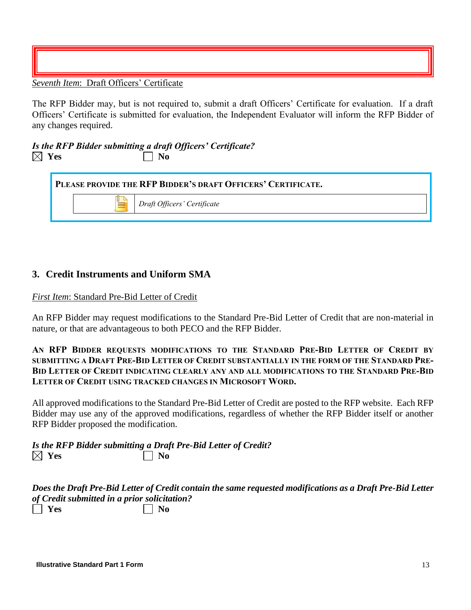*Seventh Item*:Draft Officers' Certificate

The RFP Bidder may, but is not required to, submit a draft Officers' Certificate for evaluation. If a draft Officers' Certificate is submitted for evaluation, the Independent Evaluator will inform the RFP Bidder of any changes required.

# *Is the RFP Bidder submitting a draft Officers' Certificate?*   $\boxtimes$  Yes  $\Box$  No

|  | PLEASE PROVIDE THE RFP BIDDER'S DRAFT OFFICERS' CERTIFICATE. |
|--|--------------------------------------------------------------|
|  | Draft Officers' Certificate                                  |
|  |                                                              |

# **3. Credit Instruments and Uniform SMA**

#### *First Item*: Standard Pre-Bid Letter of Credit

An RFP Bidder may request modifications to the Standard Pre-Bid Letter of Credit that are non-material in nature, or that are advantageous to both PECO and the RFP Bidder.

#### **AN RFP BIDDER REQUESTS MODIFICATIONS TO THE STANDARD PRE-BID LETTER OF CREDIT BY SUBMITTING A DRAFT PRE-BID LETTER OF CREDIT SUBSTANTIALLY IN THE FORM OF THE STANDARD PRE-BID LETTER OF CREDIT INDICATING CLEARLY ANY AND ALL MODIFICATIONS TO THE STANDARD PRE-BID LETTER OF CREDIT USING TRACKED CHANGES IN MICROSOFT WORD.**

All approved modifications to the Standard Pre-Bid Letter of Credit are posted to the RFP website. Each RFP Bidder may use any of the approved modifications, regardless of whether the RFP Bidder itself or another RFP Bidder proposed the modification.

*Is the RFP Bidder submitting a Draft Pre-Bid Letter of Credit?*   $\boxtimes$  Yes  $\Box$  No

|                                              | Does the Draft Pre-Bid Letter of Credit contain the same requested modifications as a Draft Pre-Bid Letter |
|----------------------------------------------|------------------------------------------------------------------------------------------------------------|
| of Credit submitted in a prior solicitation? |                                                                                                            |
| $\Box$ Yes                                   | $\vert$   No                                                                                               |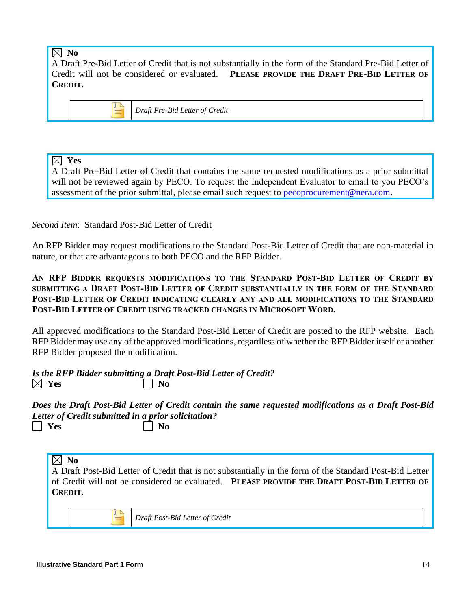# $\boxtimes$  No

A Draft Pre-Bid Letter of Credit that is not substantially in the form of the Standard Pre-Bid Letter of Credit will not be considered or evaluated. **PLEASE PROVIDE THE DRAFT PRE-BID LETTER OF CREDIT.**



*Draft Pre-Bid Letter of Credit*

# **Yes**

A Draft Pre-Bid Letter of Credit that contains the same requested modifications as a prior submittal will not be reviewed again by PECO. To request the Independent Evaluator to email to you PECO's assessment of the prior submittal, please email such request to [pecoprocurement@nera.com.](mailto:pecoprocurement@nera.com)

# *Second Item*: Standard Post-Bid Letter of Credit

An RFP Bidder may request modifications to the Standard Post-Bid Letter of Credit that are non-material in nature, or that are advantageous to both PECO and the RFP Bidder.

**AN RFP BIDDER REQUESTS MODIFICATIONS TO THE STANDARD POST-BID LETTER OF CREDIT BY SUBMITTING A DRAFT POST-BID LETTER OF CREDIT SUBSTANTIALLY IN THE FORM OF THE STANDARD POST-BID LETTER OF CREDIT INDICATING CLEARLY ANY AND ALL MODIFICATIONS TO THE STANDARD POST-BID LETTER OF CREDIT USING TRACKED CHANGES IN MICROSOFT WORD.**

All approved modifications to the Standard Post-Bid Letter of Credit are posted to the RFP website. Each RFP Bidder may use any of the approved modifications, regardless of whether the RFP Bidder itself or another RFP Bidder proposed the modification.

*Is the RFP Bidder submitting a Draft Post-Bid Letter of Credit?*   $\boxtimes$  Yes  $\blacksquare$  No

*Does the Draft Post-Bid Letter of Credit contain the same requested modifications as a Draft Post-Bid Letter of Credit submitted in a prior solicitation?*   $\Box$  Yes  $\Box$  No

# $\boxtimes$  No

A Draft Post-Bid Letter of Credit that is not substantially in the form of the Standard Post-Bid Letter of Credit will not be considered or evaluated. **PLEASE PROVIDE THE DRAFT POST-BID LETTER OF CREDIT.**

*Draft Post-Bid Letter of Credit*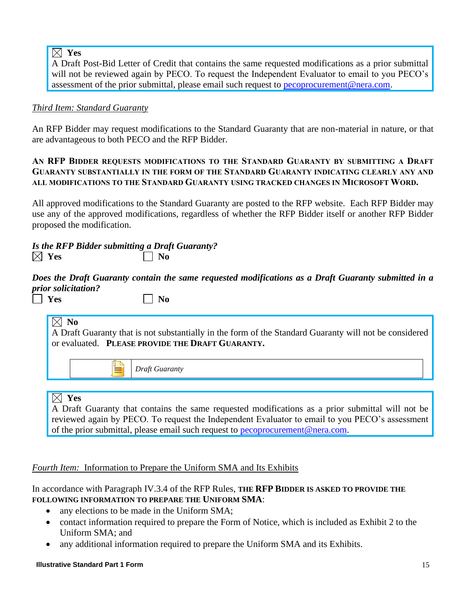# **Yes**

A Draft Post-Bid Letter of Credit that contains the same requested modifications as a prior submittal will not be reviewed again by PECO. To request the Independent Evaluator to email to you PECO's assessment of the prior submittal, please email such request to [pecoprocurement@nera.com.](mailto:pecoprocurement@nera.com)

# *Third Item: Standard Guaranty*

An RFP Bidder may request modifications to the Standard Guaranty that are non-material in nature, or that are advantageous to both PECO and the RFP Bidder.

### **AN RFP BIDDER REQUESTS MODIFICATIONS TO THE STANDARD GUARANTY BY SUBMITTING A DRAFT GUARANTY SUBSTANTIALLY IN THE FORM OF THE STANDARD GUARANTY INDICATING CLEARLY ANY AND ALL MODIFICATIONS TO THE STANDARD GUARANTY USING TRACKED CHANGES IN MICROSOFT WORD.**

All approved modifications to the Standard Guaranty are posted to the RFP website. Each RFP Bidder may use any of the approved modifications, regardless of whether the RFP Bidder itself or another RFP Bidder proposed the modification.

# *Is the RFP Bidder submitting a Draft Guaranty?*   $\bowtie$  Yes  $\mid \; \mid N_0$

*Does the Draft Guaranty contain the same requested modifications as a Draft Guaranty submitted in a prior solicitation?* 

 $Yes$   $\Box$  No

# $\boxtimes$  No

A Draft Guaranty that is not substantially in the form of the Standard Guaranty will not be considered or evaluated. **PLEASE PROVIDE THE DRAFT GUARANTY.**

*Draft Guaranty*

# **Yes**

A Draft Guaranty that contains the same requested modifications as a prior submittal will not be reviewed again by PECO. To request the Independent Evaluator to email to you PECO's assessment of the prior submittal, please email such request to [pecoprocurement@nera.com.](mailto:pecoprocurement@nera.com)

# *Fourth Item:* Information to Prepare the Uniform SMA and Its Exhibits

In accordance with Paragraph IV.3.4 of the RFP Rules, **THE RFP BIDDER IS ASKED TO PROVIDE THE FOLLOWING INFORMATION TO PREPARE THE UNIFORM SMA**:

- any elections to be made in the Uniform SMA;
- contact information required to prepare the Form of Notice, which is included as Exhibit 2 to the Uniform SMA; and
- any additional information required to prepare the Uniform SMA and its Exhibits.

#### **Illustrative Standard Part 1 Form** 15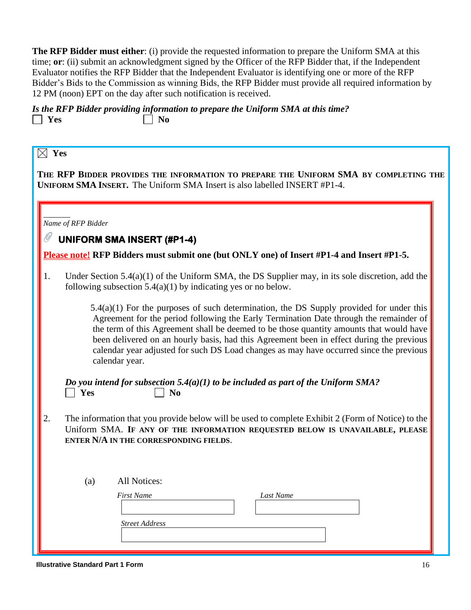**The RFP Bidder must either**: (i) provide the requested information to prepare the Uniform SMA at this time; **or**: (ii) submit an acknowledgment signed by the Officer of the RFP Bidder that, if the Independent Evaluator notifies the RFP Bidder that the Independent Evaluator is identifying one or more of the RFP Bidder's Bids to the Commission as winning Bids, the RFP Bidder must provide all required information by 12 PM (noon) EPT on the day after such notification is received.

*Is the RFP Bidder providing information to prepare the Uniform SMA at this time?*   $\Box$  Yes  $\Box$  No

| Yes |                                                                                                                                                                                                                                                                                                                                                                                                                                                                                         |
|-----|-----------------------------------------------------------------------------------------------------------------------------------------------------------------------------------------------------------------------------------------------------------------------------------------------------------------------------------------------------------------------------------------------------------------------------------------------------------------------------------------|
|     | THE RFP BIDDER PROVIDES THE INFORMATION TO PREPARE THE UNIFORM SMA BY COMPLETING THE                                                                                                                                                                                                                                                                                                                                                                                                    |
|     | <b>UNIFORM SMA INSERT.</b> The Uniform SMA Insert is also labelled INSERT #P1-4.                                                                                                                                                                                                                                                                                                                                                                                                        |
|     |                                                                                                                                                                                                                                                                                                                                                                                                                                                                                         |
|     | Name of RFP Bidder<br><b>UNIFORM SMA INSERT (#P1-4)</b>                                                                                                                                                                                                                                                                                                                                                                                                                                 |
|     | Please note! RFP Bidders must submit one (but ONLY one) of Insert #P1-4 and Insert #P1-5.                                                                                                                                                                                                                                                                                                                                                                                               |
| 1.  | Under Section $5.4(a)(1)$ of the Uniform SMA, the DS Supplier may, in its sole discretion, add the<br>following subsection $5.4(a)(1)$ by indicating yes or no below.                                                                                                                                                                                                                                                                                                                   |
|     | $5.4(a)(1)$ For the purposes of such determination, the DS Supply provided for under this<br>Agreement for the period following the Early Termination Date through the remainder of<br>the term of this Agreement shall be deemed to be those quantity amounts that would have<br>been delivered on an hourly basis, had this Agreement been in effect during the previous<br>calendar year adjusted for such DS Load changes as may have occurred since the previous<br>calendar year. |
|     | Do you intend for subsection 5.4(a)(1) to be included as part of the Uniform SMA?<br>Yes<br>N <sub>0</sub>                                                                                                                                                                                                                                                                                                                                                                              |
| 2.  | The information that you provide below will be used to complete Exhibit 2 (Form of Notice) to the<br>Uniform SMA. IF ANY OF THE INFORMATION REQUESTED BELOW IS UNAVAILABLE, PLEASE<br>ENTER N/A IN THE CORRESPONDING FIELDS.                                                                                                                                                                                                                                                            |
|     | All Notices:<br>(a)<br><b>First Name</b><br>Last Name<br><b>Street Address</b>                                                                                                                                                                                                                                                                                                                                                                                                          |
|     |                                                                                                                                                                                                                                                                                                                                                                                                                                                                                         |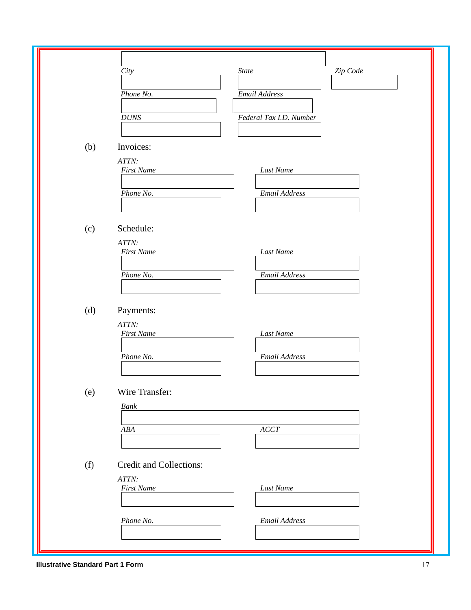|     | <b>State</b><br>Zip Code<br>City<br>Email Address<br>Phone No.<br>Federal Tax I.D. Number<br><b>DUNS</b> |
|-----|----------------------------------------------------------------------------------------------------------|
| (b) | Invoices:<br>ATTN:<br><b>First Name</b><br>Last Name                                                     |
|     | Email Address<br>Phone No.                                                                               |
| (c) | Schedule:<br>ATTN:<br><b>First Name</b><br>Last Name<br><b>Email Address</b><br>Phone No.                |
| (d) | Payments:<br>ATTN:<br><b>First Name</b><br>Last Name<br>Phone No.<br>Email Address                       |
| (e) | Wire Transfer:<br>Bank<br>$\cal{ACCT}$<br>$A B\hspace{-0.1em}A$                                          |
| (f) | Credit and Collections:<br>ATTN:<br><b>First Name</b><br>Last Name                                       |
|     | Phone No.<br>Email Address                                                                               |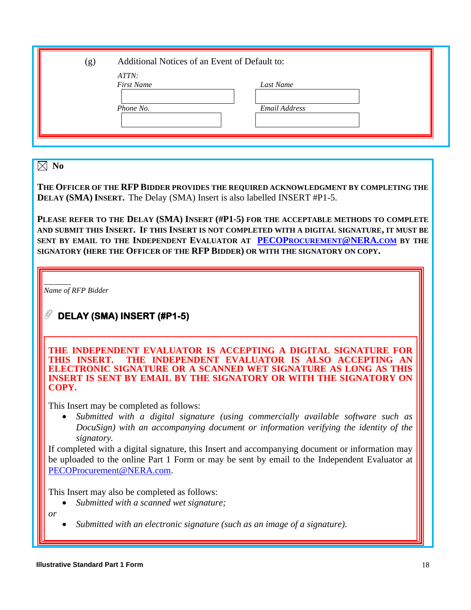| (g) | Additional Notices of an Event of Default to: |               |  |
|-----|-----------------------------------------------|---------------|--|
|     | ATTN:<br><b>First Name</b>                    | Last Name     |  |
|     | Phone No.                                     | Email Address |  |
|     |                                               |               |  |

 $\boxtimes$  No

**THE OFFICER OF THE RFP BIDDER PROVIDES THE REQUIRED ACKNOWLEDGMENT BY COMPLETING THE DELAY (SMA) INSERT.** The Delay (SMA) Insert is also labelled INSERT #P1-5.

**PLEASE REFER TO THE DELAY (SMA) INSERT (#P1-5) FOR THE ACCEPTABLE METHODS TO COMPLETE AND SUBMIT THIS INSERT. IF THIS INSERT IS NOT COMPLETED WITH A DIGITAL SIGNATURE, IT MUST BE SENT BY EMAIL TO THE INDEPENDENT EVALUATOR AT PECOP[ROCUREMENT](mailto:PECOProcurement@NERA.com)@NERA.COM BY THE SIGNATORY (HERE THE OFFICER OF THE RFP BIDDER) OR WITH THE SIGNATORY ON COPY.**

*Name of RFP Bidder*

# **DELAY (SMA) INSERT (#P1-5)**

**THE INDEPENDENT EVALUATOR IS ACCEPTING A DIGITAL SIGNATURE FOR THIS INSERT. THE INDEPENDENT EVALUATOR IS ALSO ACCEPTING AN ELECTRONIC SIGNATURE OR A SCANNED WET SIGNATURE AS LONG AS THIS INSERT IS SENT BY EMAIL BY THE SIGNATORY OR WITH THE SIGNATORY ON COPY.** 

This Insert may be completed as follows:

• *Submitted with a digital signature (using commercially available software such as DocuSign) with an accompanying document or information verifying the identity of the signatory.* 

If completed with a digital signature, this Insert and accompanying document or information may be uploaded to the online Part 1 Form or may be sent by email to the Independent Evaluator at [PECOProcurement@NERA.com.](mailto:PECOProcurement@NERA.com)

This Insert may also be completed as follows:

• *Submitted with a scanned wet signature;*

*or*

• *Submitted with an electronic signature (such as an image of a signature).*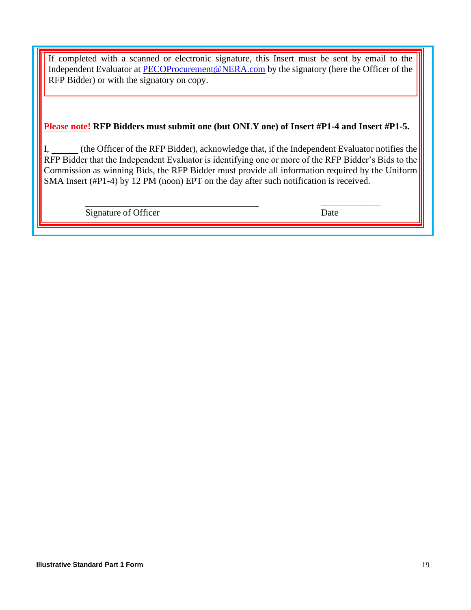If completed with a scanned or electronic signature, this Insert must be sent by email to the Independent Evaluator at [PECOProcurement@NERA.com](mailto:PECOProcurement@NERA.com) by the signatory (here the Officer of the RFP Bidder) or with the signatory on copy.

#### **Please note! RFP Bidders must submit one (but ONLY one) of Insert #P1-4 and Insert #P1-5.**

I, (the Officer of the RFP Bidder), acknowledge that, if the Independent Evaluator notifies the RFP Bidder that the Independent Evaluator is identifying one or more of the RFP Bidder's Bids to the Commission as winning Bids, the RFP Bidder must provide all information required by the Uniform SMA Insert (#P1-4) by 12 PM (noon) EPT on the day after such notification is received.

Signature of Officer Date

\_\_\_\_\_\_\_\_\_\_\_\_\_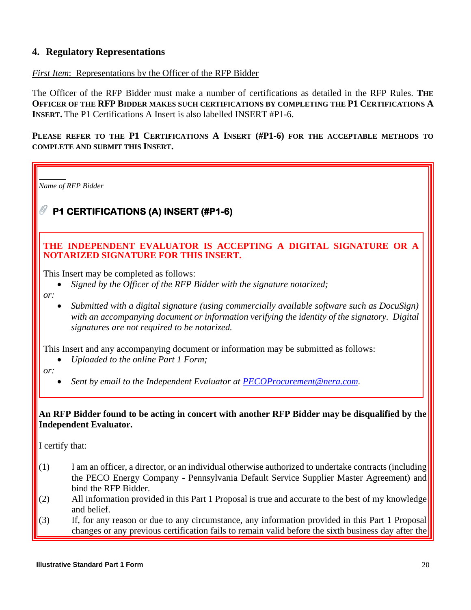# **4. Regulatory Representations**

#### *First Item*: Representations by the Officer of the RFP Bidder

The Officer of the RFP Bidder must make a number of certifications as detailed in the RFP Rules. **THE OFFICER OF THE RFP BIDDER MAKES SUCH CERTIFICATIONS BY COMPLETING THE P1 CERTIFICATIONS A INSERT.** The P1 Certifications A Insert is also labelled INSERT #P1-6.

**PLEASE REFER TO THE P1 CERTIFICATIONS A INSERT (#P1-6) FOR THE ACCEPTABLE METHODS TO COMPLETE AND SUBMIT THIS INSERT.** 

*Name of RFP Bidder* **P1 CERTIFICATIONS (A) INSERT (#P1-6) THE INDEPENDENT EVALUATOR IS ACCEPTING A DIGITAL SIGNATURE OR A NOTARIZED SIGNATURE FOR THIS INSERT.**  This Insert may be completed as follows: • *Signed by the Officer of the RFP Bidder with the signature notarized; or:* • *Submitted with a digital signature (using commercially available software such as DocuSign) with an accompanying document or information verifying the identity of the signatory. Digital signatures are not required to be notarized.*

This Insert and any accompanying document or information may be submitted as follows:

• *Uploaded to the online Part 1 Form;*

*or:*

• *Sent by email to the Independent Evaluator at [PECOProcurement@nera.com.](mailto:PECOProcurement@nera.com)* 

#### **An RFP Bidder found to be acting in concert with another RFP Bidder may be disqualified by the Independent Evaluator.**

I certify that:

- $(1)$  I am an officer, a director, or an individual otherwise authorized to undertake contracts (including the PECO Energy Company - Pennsylvania Default Service Supplier Master Agreement) and bind the RFP Bidder.
- (2) All information provided in this Part 1 Proposal is true and accurate to the best of my knowledge and belief.
- (3) If, for any reason or due to any circumstance, any information provided in this Part 1 Proposal changes or any previous certification fails to remain valid before the sixth business day after the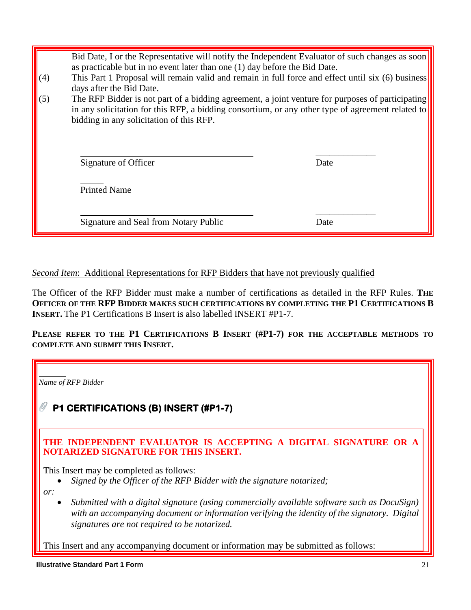| (4) | Bid Date, I or the Representative will notify the Independent Evaluator of such changes as soon<br>as practicable but in no event later than one (1) day before the Bid Date.<br>This Part 1 Proposal will remain valid and remain in full force and effect until six (6) business<br>days after the Bid Date. |      |
|-----|----------------------------------------------------------------------------------------------------------------------------------------------------------------------------------------------------------------------------------------------------------------------------------------------------------------|------|
| (5) | The RFP Bidder is not part of a bidding agreement, a joint venture for purposes of participating<br>in any solicitation for this RFP, a bidding consortium, or any other type of agreement related to<br>bidding in any solicitation of this RFP.                                                              |      |
|     | Signature of Officer                                                                                                                                                                                                                                                                                           | Date |
|     | <b>Printed Name</b>                                                                                                                                                                                                                                                                                            |      |
|     | Signature and Seal from Notary Public                                                                                                                                                                                                                                                                          | Date |

# *Second Item*: Additional Representations for RFP Bidders that have not previously qualified

The Officer of the RFP Bidder must make a number of certifications as detailed in the RFP Rules. **THE OFFICER OF THE RFP BIDDER MAKES SUCH CERTIFICATIONS BY COMPLETING THE P1 CERTIFICATIONS B INSERT.** The P1 Certifications B Insert is also labelled INSERT #P1-7.

**PLEASE REFER TO THE P1 CERTIFICATIONS B INSERT (#P1-7) FOR THE ACCEPTABLE METHODS TO COMPLETE AND SUBMIT THIS INSERT.**

*Name of RFP Bidder* **P1 CERTIFICATIONS (B) INSERT (#P1-7) THE INDEPENDENT EVALUATOR IS ACCEPTING A DIGITAL SIGNATURE OR A NOTARIZED SIGNATURE FOR THIS INSERT.**  This Insert may be completed as follows: • *Signed by the Officer of the RFP Bidder with the signature notarized; or:* • *Submitted with a digital signature (using commercially available software such as DocuSign) with an accompanying document or information verifying the identity of the signatory. Digital signatures are not required to be notarized.* This Insert and any accompanying document or information may be submitted as follows: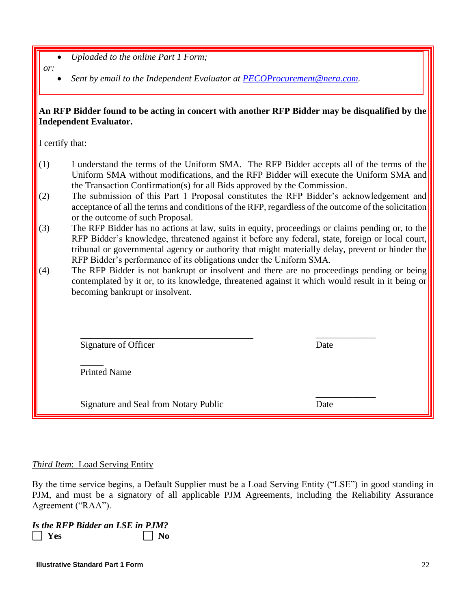- *Uploaded to the online Part 1 Form;*
- *or:*
- *Sent by email to the Independent Evaluator at [PECOProcurement@nera.com.](mailto:PECOProcurement@nera.com)*

#### **An RFP Bidder found to be acting in concert with another RFP Bidder may be disqualified by the Independent Evaluator.**

I certify that:

- (1) I understand the terms of the Uniform SMA. The RFP Bidder accepts all of the terms of the Uniform SMA without modifications, and the RFP Bidder will execute the Uniform SMA and the Transaction Confirmation(s) for all Bids approved by the Commission.
- (2) The submission of this Part 1 Proposal constitutes the RFP Bidder's acknowledgement and acceptance of all the terms and conditions of the RFP, regardless of the outcome of the solicitation or the outcome of such Proposal.
- (3) The RFP Bidder has no actions at law, suits in equity, proceedings or claims pending or, to the RFP Bidder's knowledge, threatened against it before any federal, state, foreign or local court, tribunal or governmental agency or authority that might materially delay, prevent or hinder the RFP Bidder's performance of its obligations under the Uniform SMA.
- (4) The RFP Bidder is not bankrupt or insolvent and there are no proceedings pending or being contemplated by it or, to its knowledge, threatened against it which would result in it being or becoming bankrupt or insolvent.

| Signature of Officer | Date |
|----------------------|------|

\_\_\_\_\_\_\_\_\_\_\_\_\_

Printed Name

Signature and Seal from Notary Public Date

\_\_\_\_\_\_\_\_\_\_\_\_\_

# *Third Item*: Load Serving Entity

By the time service begins, a Default Supplier must be a Load Serving Entity ("LSE") in good standing in PJM, and must be a signatory of all applicable PJM Agreements, including the Reliability Assurance Agreement ("RAA").

*Is the RFP Bidder an LSE in PJM?*  **I** Yes No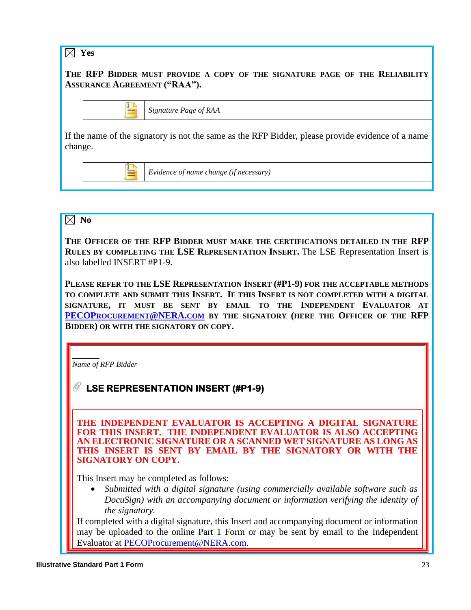

# $\boxtimes$  No

**THE OFFICER OF THE RFP BIDDER MUST MAKE THE CERTIFICATIONS DETAILED IN THE RFP RULES BY COMPLETING THE LSE REPRESENTATION INSERT.** The LSE Representation Insert is also labelled INSERT #P1-9.

**PLEASE REFER TO THE LSE REPRESENTATION INSERT (#P1-9) FOR THE ACCEPTABLE METHODS TO COMPLETE AND SUBMIT THIS INSERT. IF THIS INSERT IS NOT COMPLETED WITH A DIGITAL SIGNATURE, IT MUST BE SENT BY EMAIL TO THE INDEPENDENT EVALUATOR AT PECOP[ROCUREMENT](mailto:PECOProcurement@NERA.com)@NERA.COM BY THE SIGNATORY (HERE THE OFFICER OF THE RFP BIDDER) OR WITH THE SIGNATORY ON COPY.**

*Name of RFP Bidder*

**LSE REPRESENTATION INSERT (#P1-9)** 

**THE INDEPENDENT EVALUATOR IS ACCEPTING A DIGITAL SIGNATURE FOR THIS INSERT. THE INDEPENDENT EVALUATOR IS ALSO ACCEPTING AN ELECTRONIC SIGNATURE OR A SCANNED WET SIGNATURE AS LONG AS THIS INSERT IS SENT BY EMAIL BY THE SIGNATORY OR WITH THE SIGNATORY ON COPY.** 

This Insert may be completed as follows:

• *Submitted with a digital signature (using commercially available software such as DocuSign) with an accompanying document or information verifying the identity of the signatory.* 

If completed with a digital signature, this Insert and accompanying document or information may be uploaded to the online Part 1 Form or may be sent by email to the Independent Evaluator at [PECOProcurement@NERA.com.](mailto:PECOProcurement@NERA.com)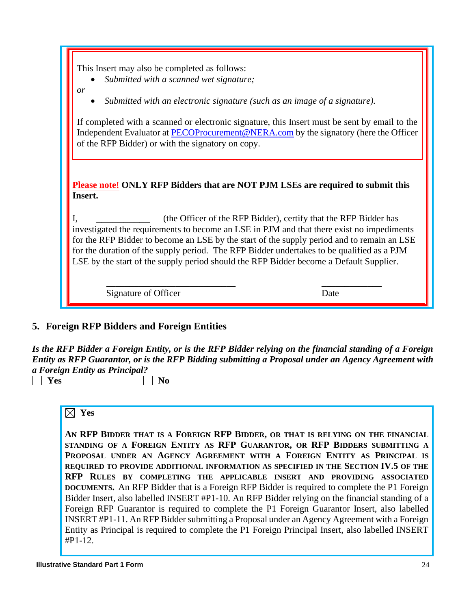- *Submitted with a scanned wet signature;*
- *or*
- *Submitted with an electronic signature (such as an image of a signature).*

If completed with a scanned or electronic signature, this Insert must be sent by email to the Independent Evaluator at [PECOProcurement@NERA.com](mailto:PECOProcurement@NERA.com) by the signatory (here the Officer of the RFP Bidder) or with the signatory on copy.

**Please note! ONLY RFP Bidders that are NOT PJM LSEs are required to submit this Insert.**

 $I_{\text{max}}$  (the Officer of the RFP Bidder), certify that the RFP Bidder has investigated the requirements to become an LSE in PJM and that there exist no impediments for the RFP Bidder to become an LSE by the start of the supply period and to remain an LSE for the duration of the supply period. The RFP Bidder undertakes to be qualified as a PJM LSE by the start of the supply period should the RFP Bidder become a Default Supplier.

\_\_\_\_\_\_\_\_\_\_\_\_\_\_\_\_\_\_\_\_\_\_\_\_\_\_\_\_ \_\_\_\_\_\_\_\_\_\_\_\_\_

Signature of Officer Date

# **5. Foreign RFP Bidders and Foreign Entities**

*Is the RFP Bidder a Foreign Entity, or is the RFP Bidder relying on the financial standing of a Foreign Entity as RFP Guarantor, or is the RFP Bidding submitting a Proposal under an Agency Agreement with a Foreign Entity as Principal?*

 $\Box$  Yes  $\Box$  No

#### **Yes**

**AN RFP BIDDER THAT IS A FOREIGN RFP BIDDER, OR THAT IS RELYING ON THE FINANCIAL STANDING OF A FOREIGN ENTITY AS RFP GUARANTOR, OR RFP BIDDERS SUBMITTING A PROPOSAL UNDER AN AGENCY AGREEMENT WITH A FOREIGN ENTITY AS PRINCIPAL IS REQUIRED TO PROVIDE ADDITIONAL INFORMATION AS SPECIFIED IN THE SECTION IV.5 OF THE RFP RULES BY COMPLETING THE APPLICABLE INSERT AND PROVIDING ASSOCIATED DOCUMENTS.** An RFP Bidder that is a Foreign RFP Bidder is required to complete the P1 Foreign Bidder Insert, also labelled INSERT #P1-10. An RFP Bidder relying on the financial standing of a Foreign RFP Guarantor is required to complete the P1 Foreign Guarantor Insert, also labelled INSERT #P1-11. An RFP Bidder submitting a Proposal under an Agency Agreement with a Foreign Entity as Principal is required to complete the P1 Foreign Principal Insert, also labelled INSERT #P1-12.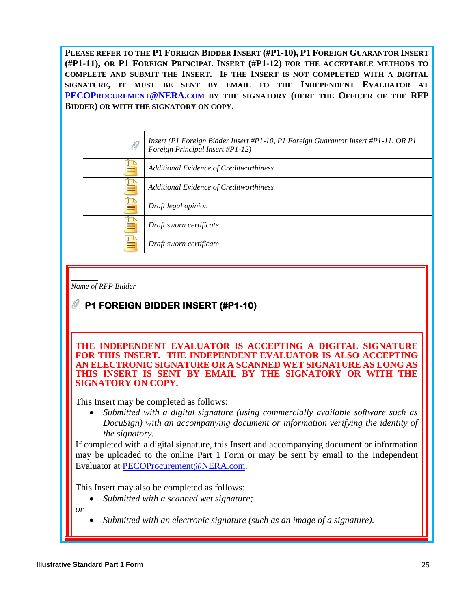**PLEASE REFER TO THE P1 FOREIGN BIDDER INSERT (#P1-10), P1 FOREIGN GUARANTOR INSERT (#P1-11), OR P1 FOREIGN PRINCIPAL INSERT (#P1-12) FOR THE ACCEPTABLE METHODS TO COMPLETE AND SUBMIT THE INSERT. IF THE INSERT IS NOT COMPLETED WITH A DIGITAL SIGNATURE, IT MUST BE SENT BY EMAIL TO THE INDEPENDENT EVALUATOR AT PECOP[ROCUREMENT](mailto:PECOProcurement@NERA.com)@NERA.COM BY THE SIGNATORY (HERE THE OFFICER OF THE RFP BIDDER) OR WITH THE SIGNATORY ON COPY.**

| O | Insert (P1 Foreign Bidder Insert #P1-10, P1 Foreign Guarantor Insert #P1-11, OR P1<br>Foreign Principal Insert #P1-12) |
|---|------------------------------------------------------------------------------------------------------------------------|
|   | Additional Evidence of Creditworthiness                                                                                |
|   | Additional Evidence of Creditworthiness                                                                                |
|   | Draft legal opinion                                                                                                    |
|   | Draft sworn certificate                                                                                                |
|   | Draft sworn certificate                                                                                                |

*Name of RFP Bidder*

# **P1 FOREIGN BIDDER INSERT (#P1-10)**

**THE INDEPENDENT EVALUATOR IS ACCEPTING A DIGITAL SIGNATURE FOR THIS INSERT. THE INDEPENDENT EVALUATOR IS ALSO ACCEPTING AN ELECTRONIC SIGNATURE OR A SCANNED WET SIGNATURE AS LONG AS THIS INSERT IS SENT BY EMAIL BY THE SIGNATORY OR WITH THE SIGNATORY ON COPY.** 

This Insert may be completed as follows:

• *Submitted with a digital signature (using commercially available software such as DocuSign) with an accompanying document or information verifying the identity of the signatory.* 

If completed with a digital signature, this Insert and accompanying document or information may be uploaded to the online Part 1 Form or may be sent by email to the Independent Evaluator at [PECOProcurement@NERA.com.](mailto:PECOProcurement@NERA.com)

This Insert may also be completed as follows:

• *Submitted with a scanned wet signature;*

*or*

• *Submitted with an electronic signature (such as an image of a signature).*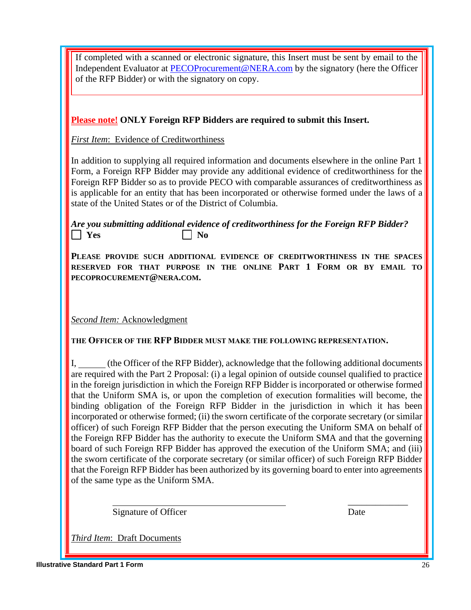| If completed with a scanned or electronic signature, this Insert must be sent by email to the<br>Independent Evaluator at PECOProcurement@NERA.com by the signatory (here the Officer                                                                                                                                                                                                                                                                                                                                                                                                                                                                                                                                                                                                                                                                                                                                                                                                                                                                                                                                               |
|-------------------------------------------------------------------------------------------------------------------------------------------------------------------------------------------------------------------------------------------------------------------------------------------------------------------------------------------------------------------------------------------------------------------------------------------------------------------------------------------------------------------------------------------------------------------------------------------------------------------------------------------------------------------------------------------------------------------------------------------------------------------------------------------------------------------------------------------------------------------------------------------------------------------------------------------------------------------------------------------------------------------------------------------------------------------------------------------------------------------------------------|
| of the RFP Bidder) or with the signatory on copy.                                                                                                                                                                                                                                                                                                                                                                                                                                                                                                                                                                                                                                                                                                                                                                                                                                                                                                                                                                                                                                                                                   |
|                                                                                                                                                                                                                                                                                                                                                                                                                                                                                                                                                                                                                                                                                                                                                                                                                                                                                                                                                                                                                                                                                                                                     |
| <b>Please note!</b> ONLY Foreign RFP Bidders are required to submit this Insert.                                                                                                                                                                                                                                                                                                                                                                                                                                                                                                                                                                                                                                                                                                                                                                                                                                                                                                                                                                                                                                                    |
| <b>First Item: Evidence of Creditworthiness</b>                                                                                                                                                                                                                                                                                                                                                                                                                                                                                                                                                                                                                                                                                                                                                                                                                                                                                                                                                                                                                                                                                     |
| In addition to supplying all required information and documents elsewhere in the online Part 1<br>Form, a Foreign RFP Bidder may provide any additional evidence of creditworthiness for the<br>Foreign RFP Bidder so as to provide PECO with comparable assurances of creditworthiness as<br>is applicable for an entity that has been incorporated or otherwise formed under the laws of a<br>state of the United States or of the District of Columbia.                                                                                                                                                                                                                                                                                                                                                                                                                                                                                                                                                                                                                                                                          |
| Are you submitting additional evidence of creditworthiness for the Foreign RFP Bidder?<br>$\vert$ Yes<br>N <sub>0</sub>                                                                                                                                                                                                                                                                                                                                                                                                                                                                                                                                                                                                                                                                                                                                                                                                                                                                                                                                                                                                             |
| PLEASE PROVIDE SUCH ADDITIONAL EVIDENCE OF CREDITWORTHINESS IN THE SPACES<br>RESERVED FOR THAT PURPOSE IN THE ONLINE PART 1 FORM OR BY EMAIL TO<br>PECOPROCUREMENT@NERA.COM.                                                                                                                                                                                                                                                                                                                                                                                                                                                                                                                                                                                                                                                                                                                                                                                                                                                                                                                                                        |
|                                                                                                                                                                                                                                                                                                                                                                                                                                                                                                                                                                                                                                                                                                                                                                                                                                                                                                                                                                                                                                                                                                                                     |
| <b>Second Item: Acknowledgment</b>                                                                                                                                                                                                                                                                                                                                                                                                                                                                                                                                                                                                                                                                                                                                                                                                                                                                                                                                                                                                                                                                                                  |
| THE OFFICER OF THE RFP BIDDER MUST MAKE THE FOLLOWING REPRESENTATION.                                                                                                                                                                                                                                                                                                                                                                                                                                                                                                                                                                                                                                                                                                                                                                                                                                                                                                                                                                                                                                                               |
| (the Officer of the RFP Bidder), acknowledge that the following additional documents<br>are required with the Part 2 Proposal: (i) a legal opinion of outside counsel qualified to practice<br>in the foreign jurisdiction in which the Foreign RFP Bidder is incorporated or otherwise formed<br>that the Uniform SMA is, or upon the completion of execution formalities will become, the<br>binding obligation of the Foreign RFP Bidder in the jurisdiction in which it has been<br>incorporated or otherwise formed; (ii) the sworn certificate of the corporate secretary (or similar<br>officer) of such Foreign RFP Bidder that the person executing the Uniform SMA on behalf of<br>the Foreign RFP Bidder has the authority to execute the Uniform SMA and that the governing<br>board of such Foreign RFP Bidder has approved the execution of the Uniform SMA; and (iii)<br>the sworn certificate of the corporate secretary (or similar officer) of such Foreign RFP Bidder<br>that the Foreign RFP Bidder has been authorized by its governing board to enter into agreements<br>of the same type as the Uniform SMA. |
| Signature of Officer<br>Date                                                                                                                                                                                                                                                                                                                                                                                                                                                                                                                                                                                                                                                                                                                                                                                                                                                                                                                                                                                                                                                                                                        |

*Third Item*: Draft Documents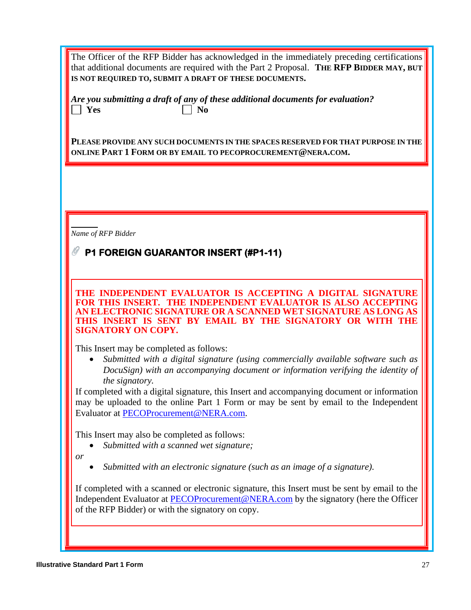The Officer of the RFP Bidder has acknowledged in the immediately preceding certifications that additional documents are required with the Part 2 Proposal. **THE RFP BIDDER MAY, BUT IS NOT REQUIRED TO, SUBMIT A DRAFT OF THESE DOCUMENTS.**

*Are you submitting a draft of any of these additional documents for evaluation?*   $\Box$  Yes  $\Box$  No

**PLEASE PROVIDE ANY SUCH DOCUMENTS IN THE SPACES RESERVED FOR THAT PURPOSE IN THE ONLINE PART 1 FORM OR BY EMAIL TO PECOPROCUREMENT@NERA.COM.**

*Name of RFP Bidder*

# **P1 FOREIGN GUARANTOR INSERT (#P1-11)**

**THE INDEPENDENT EVALUATOR IS ACCEPTING A DIGITAL SIGNATURE FOR THIS INSERT. THE INDEPENDENT EVALUATOR IS ALSO ACCEPTING AN ELECTRONIC SIGNATURE OR A SCANNED WET SIGNATURE AS LONG AS THIS INSERT IS SENT BY EMAIL BY THE SIGNATORY OR WITH THE SIGNATORY ON COPY.** 

This Insert may be completed as follows:

• *Submitted with a digital signature (using commercially available software such as DocuSign) with an accompanying document or information verifying the identity of the signatory.* 

If completed with a digital signature, this Insert and accompanying document or information may be uploaded to the online Part 1 Form or may be sent by email to the Independent Evaluator at [PECOProcurement@NERA.com.](mailto:PECOProcurement@NERA.com)

This Insert may also be completed as follows:

• *Submitted with a scanned wet signature;*

*or*

• *Submitted with an electronic signature (such as an image of a signature).*

If completed with a scanned or electronic signature, this Insert must be sent by email to the Independent Evaluator at [PECOProcurement@NERA.com](mailto:PECOProcurement@NERA.com) by the signatory (here the Officer of the RFP Bidder) or with the signatory on copy.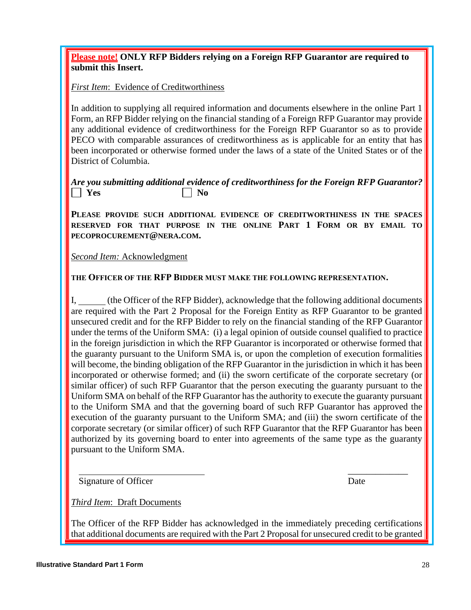*Third Item*: Draft Documents

**Please note! ONLY RFP Bidders relying on a Foreign RFP Guarantor are required to submit this Insert.**

*First Item*: Evidence of Creditworthiness

In addition to supplying all required information and documents elsewhere in the online Part 1 Form, an RFP Bidder relying on the financial standing of a Foreign RFP Guarantor may provide any additional evidence of creditworthiness for the Foreign RFP Guarantor so as to provide PECO with comparable assurances of creditworthiness as is applicable for an entity that has been incorporated or otherwise formed under the laws of a state of the United States or of the District of Columbia.

### *Are you submitting additional evidence of creditworthiness for the Foreign RFP Guarantor?*   $\vert$  **Yes**  $\vert$  **No**

**PLEASE PROVIDE SUCH ADDITIONAL EVIDENCE OF CREDITWORTHINESS IN THE SPACES RESERVED FOR THAT PURPOSE IN THE ONLINE PART 1 FORM OR BY EMAIL TO PECOPROCUREMENT@NERA.COM.**

*Second Item:* Acknowledgment

**THE OFFICER OF THE RFP BIDDER MUST MAKE THE FOLLOWING REPRESENTATION.**

(the Officer of the RFP Bidder), acknowledge that the following additional documents are required with the Part 2 Proposal for the Foreign Entity as RFP Guarantor to be granted unsecured credit and for the RFP Bidder to rely on the financial standing of the RFP Guarantor under the terms of the Uniform SMA: (i) a legal opinion of outside counsel qualified to practice in the foreign jurisdiction in which the RFP Guarantor is incorporated or otherwise formed that the guaranty pursuant to the Uniform SMA is, or upon the completion of execution formalities will become, the binding obligation of the RFP Guarantor in the jurisdiction in which it has been incorporated or otherwise formed; and (ii) the sworn certificate of the corporate secretary (or similar officer) of such RFP Guarantor that the person executing the guaranty pursuant to the Uniform SMA on behalf of the RFP Guarantor has the authority to execute the guaranty pursuant to the Uniform SMA and that the governing board of such RFP Guarantor has approved the execution of the guaranty pursuant to the Uniform SMA; and (iii) the sworn certificate of the corporate secretary (or similar officer) of such RFP Guarantor that the RFP Guarantor has been authorized by its governing board to enter into agreements of the same type as the guaranty pursuant to the Uniform SMA.

\_\_\_\_\_\_\_\_\_\_\_\_\_

Signature of Officer Date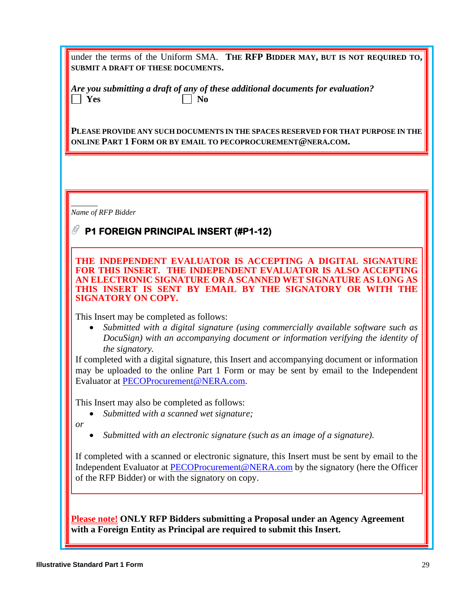|                                    | under the terms of the Uniform SMA. THE RFP BIDDER MAY, BUT IS NOT REQUIRED TO, |
|------------------------------------|---------------------------------------------------------------------------------|
| SUBMIT A DRAFT OF THESE DOCUMENTS. |                                                                                 |

|            | Are you submitting a draft of any of these additional documents for evaluation? |
|------------|---------------------------------------------------------------------------------|
| $\Box$ Yes | $\vert$   No                                                                    |

**PLEASE PROVIDE ANY SUCH DOCUMENTS IN THE SPACES RESERVED FOR THAT PURPOSE IN THE ONLINE PART 1 FORM OR BY EMAIL TO PECOPROCUREMENT@NERA.COM.**

*Name of RFP Bidder*

# **P1 FOREIGN PRINCIPAL INSERT (#P1-12)**

**THE INDEPENDENT EVALUATOR IS ACCEPTING A DIGITAL SIGNATURE FOR THIS INSERT. THE INDEPENDENT EVALUATOR IS ALSO ACCEPTING AN ELECTRONIC SIGNATURE OR A SCANNED WET SIGNATURE AS LONG AS THIS INSERT IS SENT BY EMAIL BY THE SIGNATORY OR WITH THE SIGNATORY ON COPY.** 

This Insert may be completed as follows:

• *Submitted with a digital signature (using commercially available software such as DocuSign) with an accompanying document or information verifying the identity of the signatory.* 

If completed with a digital signature, this Insert and accompanying document or information may be uploaded to the online Part 1 Form or may be sent by email to the Independent Evaluator at [PECOProcurement@NERA.com.](mailto:PECOProcurement@NERA.com)

This Insert may also be completed as follows:

• *Submitted with a scanned wet signature;*

*or*

• *Submitted with an electronic signature (such as an image of a signature).*

If completed with a scanned or electronic signature, this Insert must be sent by email to the Independent Evaluator at [PECOProcurement@NERA.com](mailto:PECOProcurement@NERA.com) by the signatory (here the Officer of the RFP Bidder) or with the signatory on copy.

**Please note! ONLY RFP Bidders submitting a Proposal under an Agency Agreement with a Foreign Entity as Principal are required to submit this Insert.**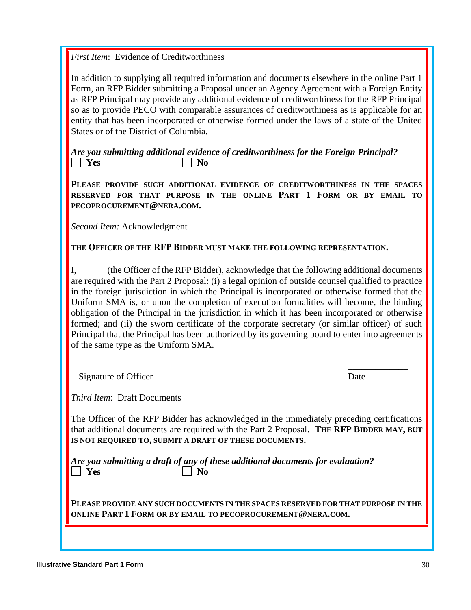*First Item*: Evidence of Creditworthiness

In addition to supplying all required information and documents elsewhere in the online Part 1 Form, an RFP Bidder submitting a Proposal under an Agency Agreement with a Foreign Entity as RFP Principal may provide any additional evidence of creditworthiness for the RFP Principal so as to provide PECO with comparable assurances of creditworthiness as is applicable for an entity that has been incorporated or otherwise formed under the laws of a state of the United States or of the District of Columbia.

*Are you submitting additional evidence of creditworthiness for the Foreign Principal?*  **No. I** Yes No.

**PLEASE PROVIDE SUCH ADDITIONAL EVIDENCE OF CREDITWORTHINESS IN THE SPACES RESERVED FOR THAT PURPOSE IN THE ONLINE PART 1 FORM OR BY EMAIL TO PECOPROCUREMENT@NERA.COM.**

*Second Item:* Acknowledgment

**THE OFFICER OF THE RFP BIDDER MUST MAKE THE FOLLOWING REPRESENTATION.**

I, (the Officer of the RFP Bidder), acknowledge that the following additional documents are required with the Part 2 Proposal: (i) a legal opinion of outside counsel qualified to practice in the foreign jurisdiction in which the Principal is incorporated or otherwise formed that the Uniform SMA is, or upon the completion of execution formalities will become, the binding obligation of the Principal in the jurisdiction in which it has been incorporated or otherwise formed; and (ii) the sworn certificate of the corporate secretary (or similar officer) of such Principal that the Principal has been authorized by its governing board to enter into agreements of the same type as the Uniform SMA.

\_\_\_\_\_\_\_\_\_\_\_\_\_

Signature of Officer Date

*Third Item*: Draft Documents

The Officer of the RFP Bidder has acknowledged in the immediately preceding certifications that additional documents are required with the Part 2 Proposal. **THE RFP BIDDER MAY, BUT IS NOT REQUIRED TO, SUBMIT A DRAFT OF THESE DOCUMENTS.**

*Are you submitting a draft of any of these additional documents for evaluation?*   $\Box$  Yes  $\Box$  No

**PLEASE PROVIDE ANY SUCH DOCUMENTS IN THE SPACES RESERVED FOR THAT PURPOSE IN THE ONLINE PART 1 FORM OR BY EMAIL TO PECOPROCUREMENT@NERA.COM.**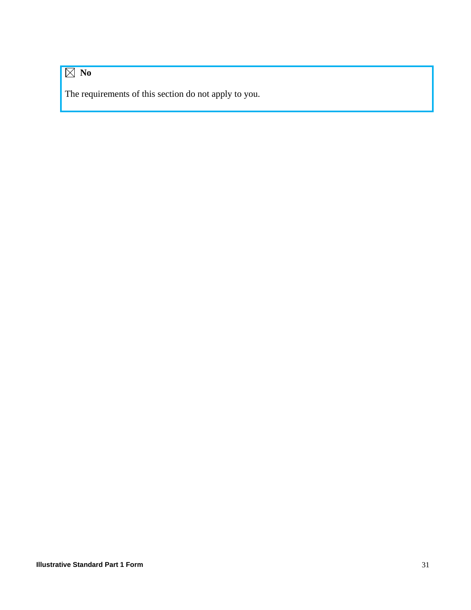# **No**

The requirements of this section do not apply to you.